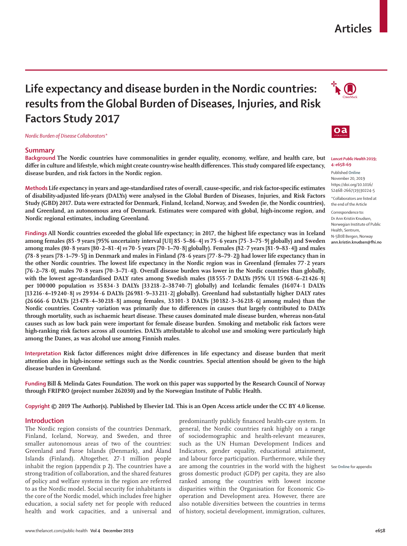## **Articles**

# **Life expectancy and disease burden in the Nordic countries: results from the Global Burden of Diseases, Injuries, and Risk Factors Study 2017**

*Nordic Burden of Disease Collaborators\**

### **Summary**

**Background The Nordic countries have commonalities in gender equality, economy, welfare, and health care, but differ in culture and lifestyle, which might create country-wise health differences. This study compared life expectancy, disease burden, and risk factors in the Nordic region.**

**Methods Life expectancy in years and age-standardised rates of overall, cause-specific, and risk factor-specific estimates of disability-adjusted life-years (DALYs) were analysed in the Global Burden of Diseases, Injuries, and Risk Factors Study (GBD) 2017. Data were extracted for Denmark, Finland, Iceland, Norway, and Sweden (ie, the Nordic countries), and Greenland, an autonomous area of Denmark. Estimates were compared with global, high-income region, and Nordic regional estimates, including Greenland.**

**Findings All Nordic countries exceeded the global life expectancy; in 2017, the highest life expectancy was in Iceland among females (85·9 years [95% uncertainty interval [UI] 85·5–86·4]** *vs* **75·6 years [75·3–75·9] globally) and Sweden among males (80·8 years [80·2–81·4]** *vs* **70·5 years [70·1–70·8] globally). Females (82·7 years [81·9–83·4]) and males (78·8 years [78·1–79·5]) in Denmark and males in Finland (78·6 years [77·8–79·2]) had lower life expectancy than in the other Nordic countries. The lowest life expectancy in the Nordic region was in Greenland (females 77·2 years [76·2–78·0], males 70·8 years [70·3–71·4]). Overall disease burden was lower in the Nordic countries than globally, with the lowest age-standardised DALY rates among Swedish males (18 555·7 DALYs [95% UI 15 968·6–21 426·8] per 100000 population** *vs* **35 834·3 DALYs [33218·2–38 740·7] globally) and Icelandic females (16074·1 DALYs [13 216·4–19240·8]** *vs* **29 934·6 DALYs [26981·9–33 211·2] globally). Greenland had substantially higher DALY rates (26666·6 DALYs [23478·4–30 218·8] among females, 33101·3 DALYs [30 182·3–36218·6] among males) than the Nordic countries. Country variation was primarily due to differences in causes that largely contributed to DALYs through mortality, such as ischaemic heart disease. These causes dominated male disease burden, whereas non-fatal causes such as low back pain were important for female disease burden. Smoking and metabolic risk factors were high-ranking risk factors across all countries. DALYs attributable to alcohol use and smoking were particularly high among the Danes, as was alcohol use among Finnish males.**

**Interpretation Risk factor differences might drive differences in life expectancy and disease burden that merit attention also in high-income settings such as the Nordic countries. Special attention should be given to the high disease burden in Greenland.**

**Funding Bill & Melinda Gates Foundation. The work on this paper was supported by the Research Council of Norway through FRIPRO (project number 262030) and by the Norwegian Institute of Public Health.**

**Copyright © 2019 The Author(s). Published by Elsevier Ltd. This is an Open Access article under the CC BY 4.0 license.**

### **Introduction**

The Nordic region consists of the countries Denmark, Finland, Iceland, Norway, and Sweden, and three smaller autonomous areas of two of the countries: Greenland and Faroe Islands (Denmark), and Åland Islands (Finland). Altogether, 27·1 million people inhabit the region (appendix p 2). The countries have a strong tradition of collaboration, and the shared features of policy and welfare systems in the region are referred to as the Nordic model. Social security for inhabitants is the core of the Nordic model, which includes free higher education, a social safety net for people with reduced health and work capacities, and a universal and predominantly publicly financed health-care system. In general, the Nordic countries rank highly on a range of sociodemographic and health-relevant measures, such as the UN Human Development Indices and Indicators, gender equality, educational attainment, and labour force participation. Furthermore, while they are among the countries in the world with the highest See **Online** for appendixgross domestic product (GDP) per capita, they are also ranked among the countries with lowest income disparities within the Organisation for Economic Cooperation and Development area. However, there are also notable diversities between the countries in terms of history, societal development, immigration, cultures,





#### *Lancet Public Health* **2019; 4: e658–69**

Published **Online** November 20, 2019 https://doi.org/10.1016/ S2468-2667(19)30224-5

\*Collaborators are listed at the end of the Article

Correspondence to: Dr Ann Kristin Knudsen, Norwegian Institute of Public Health, Sentrum, N-5808 Bergen, Norway **ann.kristin.knudsen@fhi.no**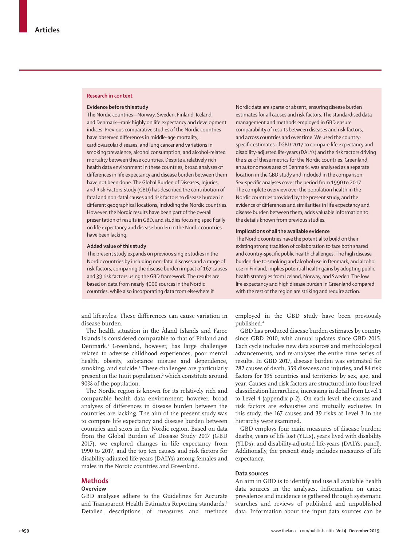#### **Research in context**

#### **Evidence before this study**

The Nordic countries—Norway, Sweden, Finland, Iceland, and Denmark—rank highly on life expectancy and development indices. Previous comparative studies of the Nordic countries have observed differences in middle-age mortality, cardiovascular diseases, and lung cancer and variations in smoking prevalence, alcohol consumption, and alcohol-related mortality between these countries. Despite a relatively rich health data environment in these countries, broad analyses of differences in life expectancy and disease burden between them have not been done. The Global Burden of Diseases, Injuries, and Risk Factors Study (GBD) has described the contribution of fatal and non-fatal causes and risk factors to disease burden in different geographical locations, including the Nordic countries. However, the Nordic results have been part of the overall presentation of results in GBD, and studies focusing specifically on life expectancy and disease burden in the Nordic countries have been lacking.

#### **Added value of this study**

The present study expands on previous single studies in the Nordic countries by including non-fatal diseases and a range of risk factors, comparing the disease burden impact of 167 causes and 39 risk factors using the GBD framework. The results are based on data from nearly 4000 sources in the Nordic countries, while also incorporating data from elsewhere if

and lifestyles. These differences can cause variation in disease burden.

The health situation in the Åland Islands and Faroe Islands is considered comparable to that of Finland and Denmark.<sup>1</sup> Greenland, however, has large challenges related to adverse childhood experiences, poor mental health, obesity, substance misuse and dependence, smoking, and suicide.<sup>2</sup> These challenges are particularly present in the Inuit population,<sup>2</sup> which constitute around 90% of the population.

The Nordic region is known for its relatively rich and comparable health data environment; however, broad analyses of differences in disease burden between the countries are lacking. The aim of the present study was to compare life expectancy and disease burden between countries and sexes in the Nordic region. Based on data from the Global Burden of Disease Study 2017 (GBD 2017), we explored changes in life expectancy from 1990 to 2017, and the top ten causes and risk factors for disability-adjusted life-years (DALYs) among females and males in the Nordic countries and Greenland.

## **Methods**

## **Overview**

GBD analyses adhere to the Guidelines for Accurate and Transparent Health Estimates Reporting standards.<sup>3</sup> Detailed descriptions of measures and methods Nordic data are sparse or absent, ensuring disease burden estimates for all causes and risk factors. The standardised data management and methods employed in GBD ensure comparability of results between diseases and risk factors, and across countries and over time. We used the countryspecific estimates of GBD 2017 to compare life expectancy and disability-adjusted life-years (DALYs) and the risk factors driving the size of these metrics for the Nordic countries. Greenland, an autonomous area of Denmark, was analysed as a separate location in the GBD study and included in the comparison. Sex-specific analyses cover the period from 1990 to 2017. The complete overview over the population health in the Nordic countries provided by the present study, and the evidence of differences and similarities in life expectancy and disease burden between them, adds valuable information to the details known from previous studies.

#### **Implications of all the available evidence**

The Nordic countries have the potential to build on their existing strong tradition of collaboration to face both shared and country-specific public health challenges. The high disease burden due to smoking and alcohol use in Denmark, and alcohol use in Finland, implies potential health gains by adopting public health strategies from Iceland, Norway, and Sweden. The low life expectancy and high disease burden in Greenland compared with the rest of the region are striking and require action.

employed in the GBD study have been previously published.4

GBD has produced disease burden estimates by country since GBD 2010, with annual updates since GBD 2015. Each cycle includes new data sources and methodological advancements, and re-analyses the entire time series of results. In GBD 2017, disease burden was estimated for 282 causes of death, 359 diseases and injuries, and 84 risk factors for 195 countries and territories by sex, age, and year. Causes and risk factors are structured into four-level classification hierarchies, increasing in detail from Level 1 to Level 4 (appendix p 2). On each level, the causes and risk factors are exhaustive and mutually exclusive. In this study, the 167 causes and 39 risks at Level 3 in the hierarchy were examined.

GBD employs four main measures of disease burden: deaths, years of life lost (YLLs), years lived with disability (YLDs), and disability-adjusted life-years (DALYs; panel). Additionally, the present study includes measures of life expectancy.

#### **Data sources**

An aim in GBD is to identify and use all available health data sources in the analyses. Information on cause prevalence and incidence is gathered through systematic searches and reviews of published and unpublished data. Information about the input data sources can be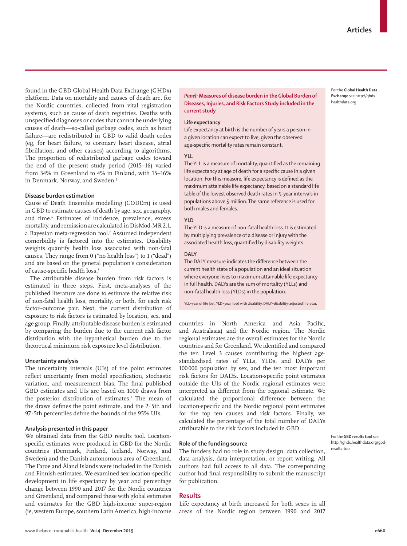found in the GBD<Global Health Data Exchange> (GHDx) platform. Data on mortality and causes of death are, for the Nordic countries, collected from vital registration systems, such as cause of death registries. Deaths with unspecified diagnoses or codes that cannot be underlying causes of death—so-called garbage codes, such as heart failure—are redistributed in GBD to valid death codes (eg, for heart failure, to coronary heart disease, atrial fibrillation, and other causes) according to algorithms. The proportion of redistributed garbage codes toward the end of the present study period (2015–16) varied from 34% in Greenland to 4% in Finland, with 15–16% in Denmark, Norway, and Sweden.<sup>5</sup>

## **Disease burden estimation**

Cause of Death Ensemble modelling (CODEm) is used in GBD to estimate causes of death by age, sex, geography, and time.6 Estimates of incidence, prevalence, excess mortality, and remission are calculated in DisMod-MR 2.1, a Bayesian meta-regression tool.7 Assumed independent comorbidity is factored into the estimates. Disability weights quantify health loss associated with non-fatal causes. They range from 0 ("no health loss") to 1 ("dead") and are based on the general population's consideration of cause-specific health loss.<sup>8</sup>

The attributable disease burden from risk factors is estimated in three steps. First, meta-analyses of the published literature are done to estimate the relative risk of non-fatal health loss, mortality, or both, for each risk factor–outcome pair. Next, the current distribution of exposure to risk factors is estimated by location, sex, and age group. Finally, attributable disease burden is estimated by comparing the burden due to the current risk factor distribution with the hypothetical burden due to the theoretical minimum risk exposure level distribution.

## **Uncertainty analysis**

The uncertainty intervals (UIs) of the point estimates reflect uncertainty from model specification, stochastic variation, and measurement bias. The final published GBD estimates and UIs are based on 1000 draws from the posterior distribution of estimates.<sup>9</sup> The mean of the draws defines the point estimate, and the 2·5th and 97·5th percentiles define the bounds of the 95% UIs.

## **Analysis presented in this paper**

We obtained data from the [GBD results tool.](http://ghdx.healthdata.org/gbd-results-tool) Locationspecific estimates were produced in GBD for the Nordic countries (Denmark, Finland, Iceland, Norway, and Sweden) and the Danish autonomous area of Greenland. The Faroe and Åland Islands were included in the Danish and Finnish estimates. We examined sex-location-specific development in life expectancy by year and percentage change between 1990 and 2017 for the Nordic countries and Greenland, and compared these with global estimates and estimates for the GBD high-income super-region (ie, western Europe, southern Latin America, high-income *Panel:* **Measures of disease burden in the Global Burden of Diseases, Injuries, and Risk Factors Study included in the current study**

#### **Life expectancy**

Life expectancy at birth is the number of years a person in a given location can expect to live, given the observed age-specific mortality rates remain constant.

### **YLL**

The YLL is a measure of mortality, quantified as the remaining life expectancy at age of death for a specific cause in a given location. For this measure, life expectancy is defined as the maximum attainable life expectancy, based on a standard life table of the lowest observed death rates in 5-year intervals in populations above 5 million. The same reference is used for both males and females.

### **YLD**

The YLD is a measure of non-fatal health loss. It is estimated by multiplying prevalence of a disease or injury with the associated health loss, quantified by disability weights.

## **DALY**

The DALY measure indicates the difference between the current health state of a population and an ideal situation where everyone lives to maximum attainable life expectancy in full health. DALYs are the sum of mortality (YLLs) and non-fatal health loss (YLDs) in the population.

YLL=year of life lost. YLD=year lived with disability. DALY=disability-adjusted life-year.

countries in North America and Asia Pacific, and Australasia) and the Nordic region. The Nordic regional estimates are the overall estimates for the Nordic countries and for Greenland. We identified and compared the ten Level 3 causes contributing the highest agestandardised rates of YLLs, YLDs, and DALYs per 100000 population by sex, and the ten most important risk factors for DALYs. Location-specific point estimates outside the UIs of the Nordic regional estimates were interpreted as different from the regional estimate. We calculated the proportional difference between the location-specific and the Nordic regional point estimates for the top ten causes and risk factors. Finally, we calculated the percentage of the total number of DALYs attributable to the risk factors included in GBD.

## **Role of the funding source**

The funders had no role in study design, data collection, data analysis, data interpretation, or report writing. All authors had full access to all data. The corresponding author had final responsibility to submit the manuscript for publication.

## **Results**

Life expectancy at birth increased for both sexes in all areas of the Nordic region between 1990 and 2017 For the **Global Health Data Exchange** see [http://ghdx.](http://ghdx.healthdata.org) [healthdata.org](http://ghdx.healthdata.org)

For the **GBD results tool** see [http://ghdx.healthdata.org/gbd](http://ghdx.healthdata.org/gbd-results-tool)[results-tool](http://ghdx.healthdata.org/gbd-results-tool)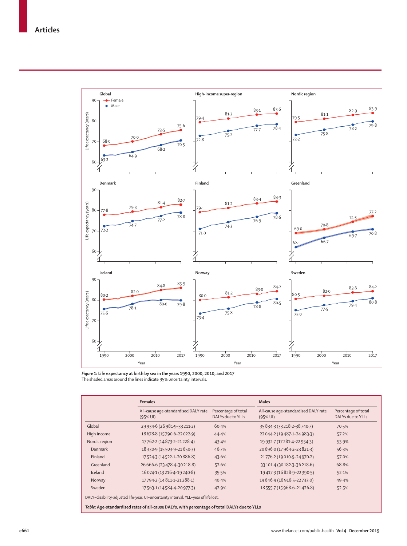

*Figure 1:* **Life expectancy at birth by sex in the years 1990, 2000, 2010, and 2017** The shaded areas around the lines indicate 95% uncertainty intervals.

|               | All-cause age-standardised DALY rate<br>(95% UI) | Percentage of total<br>DALYs due to YLLs | All-cause age-standardised DALY rate<br>(95% UI) | Percentage of total<br>DALYs due to YLLs |
|---------------|--------------------------------------------------|------------------------------------------|--------------------------------------------------|------------------------------------------|
| Global        | 29 934 6 (26 981 9 - 33 211 - 2)                 | 60.4%                                    | 35834.3 (33218.2-38740.7)                        | 70.5%                                    |
| High income   | 186788 (15790.6-22022.9)                         | 44.4%                                    | 22044-2 (19487-1-24983-3)                        | 57.2%                                    |
| Nordic region | 17762.2 (14873.2-21228.4)                        | 43.4%                                    | 19 932 - 7 (17 281 - 4 - 22 954 - 3)             | 53.9%                                    |
| Denmark       | 18330.9 (15503.9-21650.3)                        | 46.7%                                    | 206960(17964-2-23821-3)                          | 56.3%                                    |
| Finland       | 17524.3 (14522.1-20886.8)                        | 43.6%                                    | 21776.2 (19 010.9-24 970.2)                      | 57.0%                                    |
| Greenland     | 26 666 6 (23 478 4 - 30 218 8)                   | 52.6%                                    | 33101.4 (30182.3-36218.6)                        | 68.8%                                    |
| Iceland       | 16 074 1 (13 216 4 - 19 240 8)                   | 35.5%                                    | 19 417 3 (16 828 - 9 - 22 390 - 5)               | 52.1%                                    |
| Norway        | 17794-2 (14 811-1-21 288-1)                      | 40.4%                                    | 19646.9 (16916.5-22733.0)                        | 49.4%                                    |
| Sweden        | 17563.1 (14584.4-20977.3)                        | 42.9%                                    | 18 555 7 (15 968 6 - 21 4 26 8)                  | 52.5%                                    |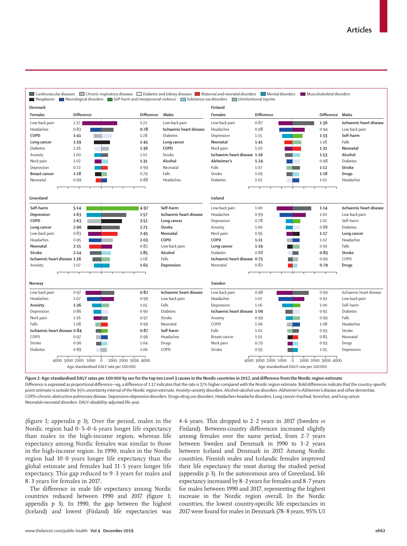|                              | ■ Cardiovascular diseases ■ Chronic respiratory diseases ■ Diabetes and kidney diseases ■ Maternal and neonatal disorders ■ Mental disorders ■ Musculoskeletal disorders<br>Neoplasms Neurological disorders Self-harm and interpersonal violence Substance use disorders Dinintentional injuries |                     |                                |                              |                     |                                            |                                |
|------------------------------|---------------------------------------------------------------------------------------------------------------------------------------------------------------------------------------------------------------------------------------------------------------------------------------------------|---------------------|--------------------------------|------------------------------|---------------------|--------------------------------------------|--------------------------------|
| Denmark                      |                                                                                                                                                                                                                                                                                                   |                     |                                | Finland                      |                     |                                            |                                |
| <b>Females</b>               | <b>Difference</b>                                                                                                                                                                                                                                                                                 | Difference          | Males                          | <b>Females</b>               | <b>Difference</b>   | Difference Males                           |                                |
| Low back pain                | 1.17                                                                                                                                                                                                                                                                                              | $1-22$              | Low back pain                  | Low back pain                | 0.87                | 1.36                                       | <b>Ischaemic heart disease</b> |
| Headaches                    | 0.83                                                                                                                                                                                                                                                                                              | 0.78                | Ischaemic heart disease        | Headaches                    | 0.98                | 0.94                                       | Low back pain                  |
| COPD                         | $1 - 41$                                                                                                                                                                                                                                                                                          | 1.28                | <b>Diabetes</b>                | Depression                   | 1.15                | $1-33$                                     | Self-harm                      |
| Lung cancer                  | 1.59                                                                                                                                                                                                                                                                                              | 1.45                | Lung cancer                    | Neonatal                     | $1-41$              | 1.18                                       | Falls                          |
| <b>Diabetes</b>              | 1.26                                                                                                                                                                                                                                                                                              | 1.36                | COPD                           | Neck pain                    | $1-20$              | $1-31$                                     | Neonatal                       |
| Anxiety                      | 1.00                                                                                                                                                                                                                                                                                              | 1.02                | Stroke                         | Ischaemic heart disease 1.16 |                     | 1.53                                       | Alcohol                        |
| Neck pain                    | $1-02$                                                                                                                                                                                                                                                                                            | 1.31                | Alcohol                        | Alzheimer's                  | $1 - 24$            | 0.98                                       | <b>Diabetes</b>                |
| Depression                   | 0.72                                                                                                                                                                                                                                                                                              | 0.99                | Neonatal                       | Falls                        | 1.07                | 1.12                                       | <b>Stroke</b>                  |
| <b>Breast cancer</b>         | $1-18$                                                                                                                                                                                                                                                                                            | 0.79                | Falls                          | Stroke                       | 1.09                | 1.18                                       | Drugs                          |
| Neonatal                     | 0.99                                                                                                                                                                                                                                                                                              | 0.88                | Headaches                      | <b>Diabetes</b>              | 1.02                | 1.02                                       | Headaches                      |
|                              |                                                                                                                                                                                                                                                                                                   |                     |                                |                              |                     |                                            |                                |
| Greenland                    |                                                                                                                                                                                                                                                                                                   |                     |                                | Iceland                      |                     |                                            |                                |
| Self-harm                    | 5.14                                                                                                                                                                                                                                                                                              | 4.97                | Self-harm                      | Low back pain                | 1.00                | 1.14                                       | <b>Ischaemic heart disease</b> |
| Depression                   | 1.63                                                                                                                                                                                                                                                                                              | 1.57                | Ischaemic heart disease        | Headaches                    | 0.99                | 1.02                                       | Low back pain                  |
| COPD                         | 2.63                                                                                                                                                                                                                                                                                              | 3.51                | Lung cancer                    | Depression                   | 0.78                | 1.01<br>a sa                               | Self-harm                      |
| Lung cancer                  | 2.96                                                                                                                                                                                                                                                                                              | 2.71                | <b>Stroke</b>                  | Anxiety                      | 1.00                | 0.88                                       | <b>Diabetes</b>                |
| Low back pain                | 0.83                                                                                                                                                                                                                                                                                              | 2.45                | Neonatal                       | Neck pain                    | 0.95                | 1.17                                       | Lung cancer                    |
| Headaches                    | 0.95                                                                                                                                                                                                                                                                                              | 2.03                | COPD                           | COPD                         | $1-11$              | 1.02                                       | Headaches                      |
| Neonatal                     | 2.15                                                                                                                                                                                                                                                                                              | 0.82                | Low back pain                  | Lung cancer                  | 1.19                | 0.91                                       | Falls                          |
| <b>Stroke</b>                | 2.14                                                                                                                                                                                                                                                                                              | 1.85                | Alcohol                        | Diabetes                     | 0.88                | 0.83                                       | <b>Stroke</b>                  |
| Ischaemic heart disease 1.36 |                                                                                                                                                                                                                                                                                                   | 1.18                | Falls                          | Ischaemic heart disease 0.75 |                     | 0.99                                       | COPD                           |
| Anxiety                      | 1.07                                                                                                                                                                                                                                                                                              | 1.65                | Depression                     | Neonatal                     | 0.82                | 0.79                                       | Drugs                          |
|                              |                                                                                                                                                                                                                                                                                                   |                     |                                |                              |                     |                                            |                                |
| Norway                       |                                                                                                                                                                                                                                                                                                   |                     |                                | Sweden                       |                     |                                            |                                |
| Low back pain                | 0.97                                                                                                                                                                                                                                                                                              | 0.82                | <b>Ischaemic heart disease</b> | Low back pain                | 0.98                | 0.99                                       | Ischaemic heart disease        |
| Headaches                    | 1.07                                                                                                                                                                                                                                                                                              | 0.99                | Low back pain                  | Headaches                    | 1.07                | 0.91                                       | Low back pain                  |
| Anxiety                      | 1.36                                                                                                                                                                                                                                                                                              | 1.05                | Falls                          | Depression                   | 1.16                | 1.00                                       | Self-harm                      |
| Depression                   | 0.86                                                                                                                                                                                                                                                                                              | 0.90                | <b>Diabetes</b>                | Ischaemic heart disease 1.09 |                     | 0.91                                       | <b>Diabetes</b>                |
| Neck pain                    | 1.16                                                                                                                                                                                                                                                                                              | 0.97                | Stroke                         | Anxiety                      | 0.99                | 0.99                                       | Falls                          |
| Falls                        | 1.08                                                                                                                                                                                                                                                                                              | 0.99                | Neonatal                       | COPD                         | 1.06                | 1.08                                       | Headaches                      |
| Ischaemic heart disease 0.84 |                                                                                                                                                                                                                                                                                                   | 0.87                | Self-harm                      | Falls                        | 1.01                | 0.93                                       | Stroke                         |
| COPD                         | 0.97                                                                                                                                                                                                                                                                                              | 0.96                | Headaches                      | Breast cancer                | 1.01                | 0.85                                       | Neonatal                       |
| Stroke                       | 0.96                                                                                                                                                                                                                                                                                              | 1.04                | Drugs                          | Neck pain                    | 0.79                | 0.93                                       | Drugs                          |
| <b>Diabetes</b>              | 0.89                                                                                                                                                                                                                                                                                              | 1.06                | COPD                           | Stroke                       | 0.95                | 1.05                                       | Depression                     |
|                              | 4000 3000 2000 1000<br>$\ddot{\mathbf{0}}$                                                                                                                                                                                                                                                        | 1000 2000 3000 4000 |                                |                              | 4000 3000 2000 1000 | 1000 2000 3000 4000<br>$\ddot{\mathbf{0}}$ |                                |
|                              | Age-standardised DALY rate per 100000                                                                                                                                                                                                                                                             |                     |                                |                              |                     | Age-standardised DALY rate per 100000      |                                |

*Figure 2:* **Age-standardised DALY rates per 100000 by sex for the top ten Level 3 causes in the Nordic countries in 2017, and difference from the Nordic region estimate** Difference is expressed as proportional difference—eg, a difference of 1·17 indicates that the rate is 17% higher compared with the Nordic region estimate. Bold differences indicate that the country-specific point estimate is outside the 95% uncertainty interval of the Nordic region estimate. Anxiety=anxiety disorders. Alcohol=alcohol use disorders. Alzheimer's=Alzheimer's disease and other dementias. COPD=chronic obstructive pulmonary disease. Depression=depressive disorders. Drugs=drug use disorders. Headaches=headache disorders. Lung cancer=tracheal, bronchus, and lung cancer. Neonatal=neonatal disorders. DALY=disability-adjusted life-year.

(figure 1; appendix p 3). Over the period, males in the Nordic region had 0·5–0·6 years longer life expectancy than males in the high-income region, whereas life expectancy among Nordic females was similar to those in the high-income region. In 1990, males in the Nordic region had 10·0 years longer life expectancy than the global estimate and females had 11·5 years longer life expectancy. This gap reduced to 9·3 years for males and 8·3 years for females in 2017.

The difference in male life expectancy among Nordic countries reduced between 1990 and 2017 (figure 1; appendix p 3). In 1990, the gap between the highest (Iceland) and lowest (Finland) life expectancies was 4·6 years. This dropped to 2·2 years in 2017 (Sweden *vs* Finland). Between-country differences increased slightly among females over the same period, from 2·7 years between Sweden and Denmark in 1990 to 3·2 years between Iceland and Denmark in 2017. Among Nordic countries, Finnish males and Icelandic females improved their life expectancy the most during the studied period (appendix p 3). In the autonomous area of Greenland, life expectancy increased by 8·2 years for females and 8·7 years for males between 1990 and 2017, representing the highest increase in the Nordic region overall. In the Nordic countries, the lowest country-specific life expectancies in 2017 were found for males in Denmark (78·8 years, 95% UI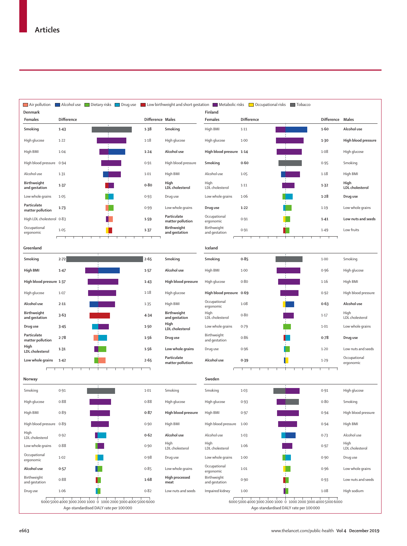|                                 | Air pollution <b>N</b> Alcohol use <b>N</b> Dietary risks <b>N</b> Drug use N Low birthweight and short gestation Netabolic risks N Occupational risks N Tobacco |                  |                                 |                              |                   |            |                                |
|---------------------------------|------------------------------------------------------------------------------------------------------------------------------------------------------------------|------------------|---------------------------------|------------------------------|-------------------|------------|--------------------------------|
| Denmark<br><b>Females</b>       | <b>Difference</b>                                                                                                                                                | Difference Males |                                 | Finland<br><b>Females</b>    | <b>Difference</b> | Difference | Males                          |
| Smoking                         | 1.43                                                                                                                                                             | 1.38             | Smoking                         | High BMI                     | $1-11$            | 1.60       | Alcohol use                    |
| High glucose                    | $1-22$                                                                                                                                                           | 1.18             | High glucose                    | High glucose                 | $1-00$            | $1-30$     | High blood pressure            |
| High BMI                        | 1.04                                                                                                                                                             | 1.24             | Alcohol use                     | High blood pressure 1.14     |                   | 1.08       | High glucose                   |
| High blood pressure 0.94        |                                                                                                                                                                  | 0.91             | High blood pressure             | Smoking                      | 0.60              | 0.95       | Smoking                        |
| Alcohol use                     | 1.31                                                                                                                                                             | $1-01$           | High BMI                        | Alcohol use                  | 1.05              | 1.18       | High BMI                       |
| Birthweight<br>and gestation    | 1.37                                                                                                                                                             | 0.80             | High<br>LDL cholesterol         | High<br>LDL cholesterol      | $1-11$            | 1.32       | High<br><b>LDL</b> cholesterol |
| Low whole grains                | 1.05                                                                                                                                                             | 0.93             | Drug use                        | Low whole grains             | 1.06              | $1-28$     | Drug use                       |
| Particulate<br>matter pollution | $1-73$                                                                                                                                                           | 0.99             | Low whole grains                | Drug use                     | $1-22$            | 1.19       | Low whole grains               |
| High LDL cholesterol 0.83       |                                                                                                                                                                  | 1.59             | Particulate<br>matter pollution | Occupational<br>ergonomic    | 0.91              | 1.41       | Low nuts and seeds             |
| Occupational<br>ergonomic       | 1.05                                                                                                                                                             | 1.37             | Birthweight<br>and gestation    | Birthweight<br>and gestation | 0.91              | 1.49       | Low fruits                     |
|                                 |                                                                                                                                                                  |                  |                                 |                              |                   |            |                                |
| Greenland                       |                                                                                                                                                                  |                  |                                 | Iceland                      |                   |            |                                |
| Smoking                         | $2 - 72$                                                                                                                                                         | 2.65             | Smoking                         | Smoking                      | 0.85              | $1-00$     | Smoking                        |
| <b>High BMI</b>                 | 1.47                                                                                                                                                             | 1.57             | Alcohol use                     | High BMI                     | $1 - 00$          | 0.96       | High glucose                   |
| High blood pressure 1.37        |                                                                                                                                                                  | 1.43             | High blood pressure             | High glucose                 | 0.80              | 1.16       | High BMI                       |
| High glucose                    | 1.07                                                                                                                                                             | 1.18             | High glucose                    | High blood pressure 0.69     |                   | 0.92       | High blood pressure            |
| Alcohol use                     | 2.11                                                                                                                                                             | 1.35             | High BMI                        | Occupational<br>ergonomic    | 1.08              | 0.63       | Alcohol use                    |
| Birthweight<br>and gestation    | 3.63                                                                                                                                                             | 4.34             | Birthweight<br>and gestation    | High<br>LDL cholesterol      | 0.80              | 1.17       | High<br>LDL cholesterol        |
| Drug use                        | 3.45                                                                                                                                                             | $1-50$           | High<br>LDL cholesterol         | Low whole grains             | 0.79              | $1-01$     | Low whole grains               |
| Particulate<br>matter pollution | 2.78                                                                                                                                                             | 1.56             | Drug use                        | Birthweight<br>and gestation | 0.86              | 0.78       | Drug use                       |
| High<br>LDL cholesterol         | 1.31                                                                                                                                                             | 1.56             | Low whole grains                | Drug use                     | 0.96              | $1-20$     | Low nuts and seeds             |
| Low whole grains                | 1.42                                                                                                                                                             | 2.65             | Particulate<br>matter pollution | Alcohol use                  | 0.39              | 1.29       | Occupational<br>ergonomic      |
|                                 |                                                                                                                                                                  |                  |                                 |                              |                   |            |                                |
| <b>Norway</b>                   |                                                                                                                                                                  |                  |                                 | Sweden                       |                   |            |                                |
| Smoking                         | 0.91                                                                                                                                                             | 1.01             | Smoking                         | Smoking                      | $1-03$            | 0.91       | High glucose                   |
| High glucose                    | 0.88                                                                                                                                                             | 0.88             | High glucose                    | High glucose                 | 0.93              | 0.80       | Smoking                        |
| High BMI                        | 0.89                                                                                                                                                             | 0.87             | High blood pressure             | High BMI                     | 0.97              | 0.94       | High blood pressure            |
| High blood pressure 0.89        |                                                                                                                                                                  | 0.90             | High BMI                        | High blood pressure          | 1.00              | 0.94       | High BMI                       |
| High<br>LDL cholesterol         | 0.92                                                                                                                                                             | 0.62             | Alcohol use                     | Alcohol use                  | 1.03              | 0.73       | Alcohol use                    |
| Low whole grains                | 0.88                                                                                                                                                             | 0.90             | High<br>LDL cholesterol         | High<br>LDL cholesterol      | 1.06              | 0.97       | High<br>LDL cholesterol        |
| Occupational<br>ergonomic       | $1-02$                                                                                                                                                           | 0.98             | Drug use                        | Low whole grains             | $1-00$            | 0.90       | Drug use                       |
| Alcohol use                     | 0.57                                                                                                                                                             | 0.85             | Low whole grains                | Occupational<br>ergonomic    | $1-01$            | 0.96       | Low whole grains               |
| Birthweight                     | 0.88                                                                                                                                                             | 1.68             | High processed<br>meat          | Birthweight<br>and gestation | 0.90              | 0.93       | Low nuts and seeds             |
| and gestation                   |                                                                                                                                                                  |                  |                                 |                              |                   |            |                                |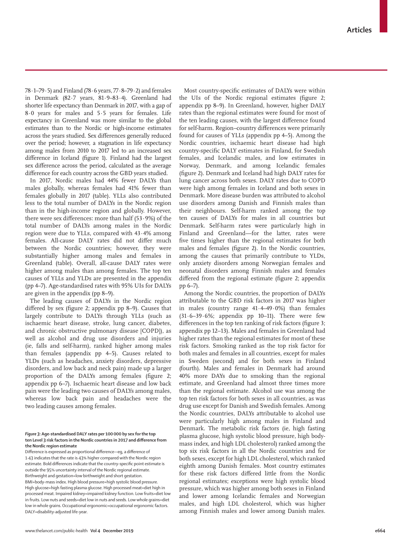78·1–79·5) and Finland (78·6 years, 77·8–79·2) and females in Denmark (82·7 years, 81·9–83·4). Greenland had shorter life expectancy than Denmark in 2017, with a gap of 8·0 years for males and 5·5 years for females. Life expectancy in Greenland was more similar to the global estimates than to the Nordic or high-income estimates across the years studied. Sex differences generally reduced over the period; however, a stagnation in life expectancy among males from 2010 to 2017 led to an increased sex difference in Iceland (figure 1). Finland had the largest sex difference across the period, calculated as the average difference for each country across the GBD years studied.

In 2017, Nordic males had 44% fewer DALYs than males globally, whereas females had 41% fewer than females globally in 2017 (table). YLLs also contributed less to the total number of DALYs in the Nordic region than in the high-income region and globally. However, there were sex differences: more than half (53·9%) of the total number of DALYs among males in the Nordic region were due to YLLs, compared with 43·4% among females. All-cause DALY rates did not differ much between the Nordic countries; however, they were substantially higher among males and females in Greenland (table). Overall, all-cause DALY rates were higher among males than among females. The top ten causes of YLLs and YLDs are presented in the appendix (pp 4–7). Age-standardised rates with 95% UIs for DALYs are given in the appendix (pp 8–9).

The leading causes of DALYs in the Nordic region differed by sex (figure 2; appendix pp 8–9). Causes that largely contribute to DALYs through YLLs (such as ischaemic heart disease, stroke, lung cancer, diabetes, and chronic obstructive pulmonary disease [COPD]), as well as alcohol and drug use disorders and injuries (ie, falls and self-harm), ranked higher among males than females (appendix pp 4–5). Causes related to YLDs (such as headaches, anxiety disorders, depressive disorders, and low back and neck pain) made up a larger proportion of the DALYs among females (figure 2; appendix pp 6–7). Ischaemic heart disease and low back pain were the leading two causes of DALYs among males, whereas low back pain and headaches were the two leading causes among females.

#### *Figure 3:* **Age-standardised DALY rates per 100000 by sex for the top ten Level 3 risk factors in the Nordic countries in 2017 and difference from the Nordic region estimate**

Most country-specific estimates of DALYs were within the UIs of the Nordic regional estimates (figure 2; appendix pp 8–9). In Greenland, however, higher DALY rates than the regional estimates were found for most of the ten leading causes, with the largest difference found for self-harm. Region–country differences were primarily found for causes of YLLs (appendix pp 4–5). Among the Nordic countries, ischaemic heart disease had high country-specific DALY estimates in Finland, for Swedish females, and Icelandic males, and low estimates in Norway, Denmark, and among Icelandic females (figure 2). Denmark and Iceland had high DALY rates for lung cancer across both sexes. DALY rates due to COPD were high among females in Iceland and both sexes in Denmark. More disease burden was attributed to alcohol use disorders among Danish and Finnish males than their neighbours. Self-harm ranked among the top ten causes of DALYs for males in all countries but Denmark. Self-harm rates were particularly high in Finland and Greenland—for the latter, rates were five times higher than the regional estimates for both males and females (figure 2). In the Nordic countries, among the causes that primarily contribute to YLDs, only anxiety disorders among Norwegian females and neonatal disorders among Finnish males and females differed from the regional estimate (figure 2; appendix pp 6–7).

Among the Nordic countries, the proportion of DALYs attributable to the GBD risk factors in 2017 was higher in males (country range 41·4–49·0%) than females (31·6–39·6%; appendix pp 10–11). There were few differences in the top ten ranking of risk factors (figure 3; appendix pp 12–13). Males and females in Greenland had higher rates than the regional estimates for most of these risk factors. Smoking ranked as the top risk factor for both males and females in all countries, except for males in Sweden (second) and for both sexes in Finland (fourth). Males and females in Denmark had around 40% more DAYs due to smoking than the regional estimate, and Greenland had almost three times more than the regional estimate. Alcohol use was among the top ten risk factors for both sexes in all countries, as was drug use except for Danish and Swedish females. Among the Nordic countries, DALYs attributable to alcohol use were particularly high among males in Finland and Denmark. The metabolic risk factors (ie, high fasting plasma glucose, high systolic blood pressure, high bodymass index, and high LDL cholesterol) ranked among the top six risk factors in all the Nordic countries and for both sexes, except for high LDL cholesterol, which ranked eighth among Danish females. Most country estimates for these risk factors differed little from the Nordic regional estimates; exceptions were high systolic blood pressure, which was higher among both sexes in Finland and lower among Icelandic females and Norwegian males, and high LDL cholesterol, which was higher among Finnish males and lower among Danish males.

Difference is expressed as proportional difference—eg, a difference of 1·43 indicates that the rate is 43% higher compared with the Nordic region estimate. Bold differences indicate that the country-specific point estimate is outside the 95% uncertainty interval of the Nordic regional estimate. Birthweight and gestation=low birthweight and short gestation. BMI=body-mass index. High blood pressure=high systolic blood pressure. High glucose=high fasting plasma glucose. High processed meat=diet high in processed meat. Impaired kidney=impaired kidney function. Low fruits=diet low in fruits. Low nuts and seeds=diet low in nuts and seeds. Low whole grains=diet low in whole grains. Occupational ergonomic=occupational ergonomic factors. DALY=disability-adjusted life-year.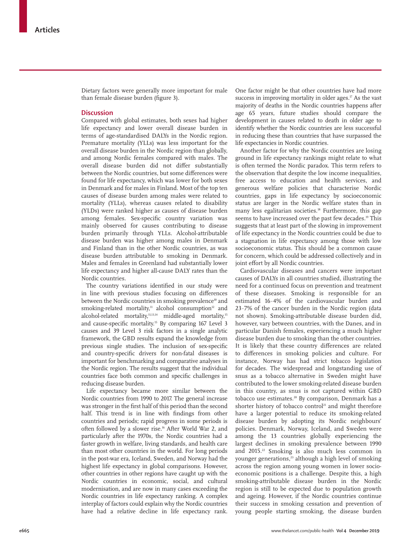Dietary factors were generally more important for male than female disease burden (figure 3).

## **Discussion**

Compared with global estimates, both sexes had higher life expectancy and lower overall disease burden in terms of age-standardised DALYs in the Nordic region. Premature mortality (YLLs) was less important for the overall disease burden in the Nordic region than globally, and among Nordic females compared with males. The overall disease burden did not differ substantially between the Nordic countries, but some differences were found for life expectancy, which was lower for both sexes in Denmark and for males in Finland. Most of the top ten causes of disease burden among males were related to mortality (YLLs), whereas causes related to disability (YLDs) were ranked higher as causes of disease burden among females. Sex-specific country variation was mainly observed for causes contributing to disease burden primarily through YLLs. Alcohol-attributable disease burden was higher among males in Denmark and Finland than in the other Nordic countries, as was disease burden attributable to smoking in Denmark. Males and females in Greenland had substantially lower life expectancy and higher all-cause DALY rates than the Nordic countries.

The country variations identified in our study were in line with previous studies focusing on differences between the Nordic countries in smoking prevalence<sup>10</sup> and smoking-related mortality,<sup>11</sup> alcohol consumption<sup>12</sup> and alcohol-related mortality,<sup>11,13,14</sup> middle-aged mortality,<sup>15</sup> and cause-specific mortality.15 By comparing 167 Level 3 causes and 39 Level 3 risk factors in a single analytic framework, the GBD results expand the knowledge from previous single studies. The inclusion of sex-specific and country-specific drivers for non-fatal diseases is important for benchmarking and comparative analyses in the Nordic region. The results suggest that the individual countries face both common and specific challenges in reducing disease burden.

Life expectancy became more similar between the Nordic countries from 1990 to 2017. The general increase was stronger in the first half of this period than the second half. This trend is in line with findings from other countries and periods; rapid progress in some periods is often followed by a slower rise.16 After World War 2, and particularly after the 1970s, the Nordic countries had a faster growth in welfare, living standards, and health care than most other countries in the world. For long periods in the post-war era, Iceland, Sweden, and Norway had the highest life expectancy in global comparisons. However, other countries in other regions have caught up with the Nordic countries in economic, social, and cultural modernisation, and are now in many cases exceeding the Nordic countries in life expectancy ranking. A complex interplay of factors could explain why the Nordic countries have had a relative decline in life expectancy rank.

One factor might be that other countries have had more success in improving mortality in older ages.<sup> $17$ </sup> As the vast majority of deaths in the Nordic countries happens after age 65 years, future studies should compare the development in causes related to death in older age to identify whether the Nordic countries are less successful in reducing these than countries that have surpassed the life expectancies in Nordic countries.

Another factor for why the Nordic countries are losing ground in life expectancy rankings might relate to what is often termed the Nordic paradox. This term refers to the observation that despite the low income inequalities, free access to education and health services, and generous welfare policies that characterise Nordic countries, gaps in life expectancy by socioeconomic status are larger in the Nordic welfare states than in many less egalitarian societies.<sup>18</sup> Furthermore, this gap seems to have increased over the past few decades.<sup>19</sup> This suggests that at least part of the slowing in improvement of life expectancy in the Nordic countries could be due to a stagnation in life expectancy among those with low socioeconomic status. This should be a common cause for concern, which could be addressed collectively and in joint effort by all Nordic countries.

Cardiovascular diseases and cancers were important causes of DALYs in all countries studied, illustrating the need for a continued focus on prevention and treatment of these diseases. Smoking is responsible for an estimated 16·4% of the cardiovascular burden and 23·7% of the cancer burden in the Nordic region (data not shown). Smoking-attributable disease burden did, however, vary between countries, with the Danes, and in particular Danish females, experiencing a much higher disease burden due to smoking than the other countries. It is likely that these country differences are related to differences in smoking policies and culture. For instance, Norway has had strict tobacco legislation for decades. The widespread and longstanding use of snus as a tobacco alternative in Sweden might have contributed to the lower smoking-related disease burden in this country, as snus is not captured within GBD tobacco use estimates.<sup>20</sup> By comparison, Denmark has a shorter history of tobacco control<sup>21</sup> and might therefore have a larger potential to reduce its smoking-related disease burden by adopting its Nordic neighbours' policies. Denmark, Norway, Iceland, and Sweden were among the 13 countries globally experiencing the largest declines in smoking prevalence between 1990 and 2015.22 Smoking is also much less common in younger generations,<sup>23</sup> although a high level of smoking across the region among young women in lower socioeconomic positions is a challenge. Despite this, a high smoking-attributable disease burden in the Nordic region is still to be expected due to population growth and ageing. However, if the Nordic countries continue their success in smoking cessation and prevention of young people starting smoking, the disease burden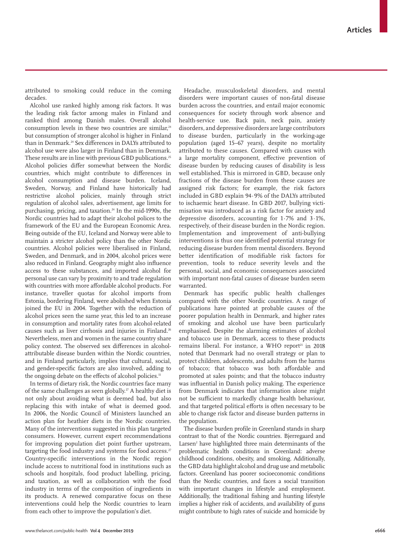attributed to smoking could reduce in the coming decades.

Alcohol use ranked highly among risk factors. It was the leading risk factor among males in Finland and ranked third among Danish males. Overall alcohol consumption levels in these two countries are similar.<sup>24</sup> but consumption of stronger alcohol is higher in Finland than in Denmark.<sup>24</sup> Sex differences in DALYs attributed to alcohol use were also larger in Finland than in Denmark. These results are in line with previous GBD publications.<sup>25</sup> Alcohol policies differ somewhat between the Nordic countries, which might contribute to differences in alcohol consumption and disease burden. Iceland, Sweden, Norway, and Finland have historically had restrictive alcohol policies, mainly through strict regulation of alcohol sales, advertisement, age limits for purchasing, pricing, and taxation.<sup>24</sup> In the mid-1990s, the Nordic countries had to adapt their alcohol polices to the framework of the EU and the European Economic Area. Being outside of the EU, Iceland and Norway were able to maintain a stricter alcohol policy than the other Nordic countries. Alcohol policies were liberalised in Finland, Sweden, and Denmark, and in 2004, alcohol prices were also reduced in Finland. Geography might also influence access to these substances, and imported alcohol for personal use can vary by proximity to and trade regulation with countries with more affordable alcohol products. For instance, traveller quotas for alcohol imports from Estonia, bordering Finland, were abolished when Estonia joined the EU in 2004. Together with the reduction of alcohol prices seen the same year, this led to an increase in consumption and mortality rates from alcohol-related causes such as liver cirrhosis and injuries in Finland.26 Nevertheless, men and women in the same country share policy context. The observed sex differences in alcoholattributable disease burden within the Nordic countries, and in Finland particularly, implies that cultural, social, and gender-specific factors are also involved, adding to the ongoing debate on the effects of alcohol policies.<sup>11</sup>

In terms of dietary risk, the Nordic countries face many of the same challenges as seen globally.<sup>27</sup> A healthy diet is not only about avoiding what is deemed bad, but also replacing this with intake of what is deemed good. In 2006, the Nordic Council of Ministers launched an action plan for heathier diets in the Nordic countries. Many of the interventions suggested in this plan targeted consumers. However, current expert recommendations for improving population diet point further upstream, targeting the food industry and systems for food access.<sup>27</sup> Country-specific interventions in the Nordic region include access to nutritional food in institutions such as schools and hospitals, food product labelling, pricing, and taxation, as well as collaboration with the food industry in terms of the composition of ingredients in its products. A renewed comparative focus on these interventions could help the Nordic countries to learn from each other to improve the population's diet.

Headache, musculoskeletal disorders, and mental disorders were important causes of non-fatal disease burden across the countries, and entail major economic consequences for society through work absence and health-service use. Back pain, neck pain, anxiety disorders, and depressive disorders are large contributors to disease burden, particularly in the working-age population (aged 15–67 years), despite no mortality attributed to these causes. Compared with causes with a large mortality component, effective prevention of disease burden by reducing causes of disability is less well established. This is mirrored in GBD, because only fractions of the disease burden from these causes are assigned risk factors; for example, the risk factors included in GBD explain 94·9% of the DALYs attributed to ischaemic heart disease. In GBD 2017, bullying victimisation was introduced as a risk factor for anxiety and depressive disorders, accounting for 1·7% and 3·1%, respectively, of their disease burden in the Nordic region. Implementation and improvement of anti-bullying interventions is thus one identified potential strategy for reducing disease burden from mental disorders. Beyond better identification of modifiable risk factors for prevention, tools to reduce severity levels and the personal, social, and economic consequences associated with important non-fatal causes of disease burden seem warranted.

Denmark has specific public health challenges compared with the other Nordic countries. A range of publications have pointed at probable causes of the poorer population health in Denmark, and higher rates of smoking and alcohol use have been particularly emphasised. Despite the alarming estimates of alcohol and tobacco use in Denmark, access to these products remains liberal. For instance, a WHO report<sup>21</sup> in 2018 noted that Denmark had no overall strategy or plan to protect children, adolescents, and adults from the harms of tobacco; that tobacco was both affordable and promoted at sales points; and that the tobacco industry was influential in Danish policy making. The experience from Denmark indicates that information alone might not be sufficient to markedly change health behaviour, and that targeted political efforts is often necessary to be able to change risk factor and disease burden patterns in the population.

The disease burden profile in Greenland stands in sharp contrast to that of the Nordic countries. Bjerregaard and Larsen<sup>2</sup> have highlighted three main determinants of the problematic health conditions in Greenland: adverse childhood conditions, obesity, and smoking. Additionally, the GBD data highlight alcohol and drug use and metabolic factors. Greenland has poorer socioeconomic conditions than the Nordic countries, and faces a social transition with important changes in lifestyle and employment. Additionally, the traditional fishing and hunting lifestyle implies a higher risk of accidents, and availability of guns might contribute to high rates of suicide and homicide by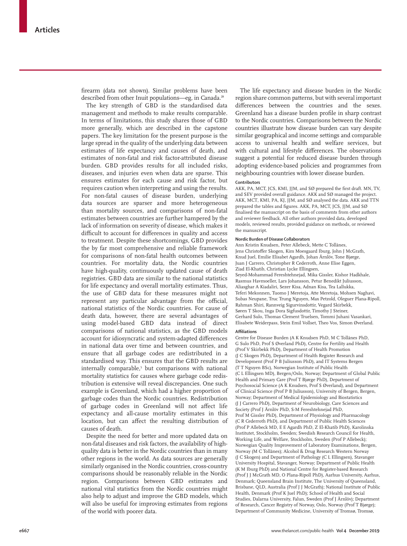firearm (data not shown). Similar problems have been described from other Inuit populations—eg, in Canada.<sup>28</sup>

The key strength of GBD is the standardised data management and methods to make results comparable. In terms of limitations, this study shares those of GBD more generally, which are described in the capstone papers. The key limitation for the present purpose is the large spread in the quality of the underlying data between estimates of life expectancy and causes of death, and estimates of non-fatal and risk factor-attributed disease burden. GBD provides results for all included risks, diseases, and injuries even when data are sparse. This ensures estimates for each cause and risk factor, but requires caution when interpreting and using the results. For non-fatal causes of disease burden, underlying data sources are sparser and more heterogeneous than mortality sources, and comparisons of non-fatal estimates between countries are further hampered by the lack of information on severity of disease, which makes it difficult to account for differences in quality and access to treatment. Despite these shortcomings, GBD provides the by far most comprehensive and reliable framework for comparisons of non-fatal health outcomes between countries. For mortality data, the Nordic countries have high-quality, continuously updated cause of death registries. GBD data are similar to the national statistics for life expectancy and overall mortality estimates. Thus, the use of GBD data for these measures might not represent any particular advantage from the official, national statistics of the Nordic countries. For cause of death data, however, there are several advantages of using model-based GBD data instead of direct comparisons of national statistics, as the GBD models account for idiosyncratic and system-adapted differences in national data over time and between countries, and ensure that all garbage codes are redistributed in a standardised way. This ensures that the GBD results are internally comparable,<sup>5</sup> but comparisons with national mortality statistics for causes where garbage code redistribution is extensive will reveal discrepancies. One such example is Greenland, which had a higher proportion of garbage codes than the Nordic countries. Redistribution of garbage codes in Greenland will not affect life expectancy and all-cause mortality estimates in this location, but can affect the resulting distribution of causes of death.

Despite the need for better and more updated data on non-fatal diseases and risk factors, the availability of highquality data is better in the Nordic countries than in many other regions in the world. As data sources are generally similarly organised in the Nordic countries, cross-country comparisons should be reasonably reliable in the Nordic region. Comparisons between GBD estimates and national vital statistics from the Nordic countries might also help to adjust and improve the GBD models, which will also be useful for improving estimates from regions of the world with poorer data.

The life expectancy and disease burden in the Nordic region share common patterns, but with several important differences between the countries and the sexes. Greenland has a disease burden profile in sharp contrast to the Nordic countries. Comparisons between the Nordic countries illustrate how disease burden can vary despite similar geographical and income settings and comparable access to universal health and welfare services, but with cultural and lifestyle differences. The observations suggest a potential for reduced disease burden through adopting evidence-based policies and programmes from neighbouring countries with lower disease burden.

#### **Contributors**

AKK, PA, MCT, JCS, KMI, JJM, and SØ prepared the first draft. MN, TV, and SEV provided overall guidance. AKK and SØ managed the project. AKK, MCT, KMI, PA, KJ, JJM, and SØ analysed the data. AKK and TTN prepared the tables and figures. AKK, PA, MCT, JCS, JJM, and SØ finalised the manuscript on the basis of comments from other authors and reviewer feedback. All other authors provided data, developed models, reviewed results, provided guidance on methods, or reviewed the manuscript.

#### **Nordic Burden of Disease Collaborators**

Ann Kristin Knudsen, Peter Allebeck, Mette C Tollånes, Jens Christoffer Skogen, Kim Moesgaard Iburg, John J McGrath, Knud Juel, Emilie Elisabet Agardh, Johan Ärnlöv, Tone Bjørge, Juan J Carrero, Christopher R Cederroth, Anne Elise Eggen, Ziad El-Khatib, Christian Lycke Ellingsen, Seyed-Mohammad Fereshtehnejad, Mika Gissler, Kishor Hadkhale, Rasmus Havmoeller, Lars Johansson, Petur Benedikt Juliusson, Aliasghar A Kiadaliri, Sezer Kisa, Adnan Kisa, Tea Lallukka, Teferi Mekonnen, Tuomo J Meretoja, Atte Meretoja, Mohsen Naghavi, Subas Neupane, Truc Trung Nguyen, Max Petzold, Oleguer Plana-Ripoll, Rahman Shiri, Rannveig Sigurvinsdottir, Vegard Skirbekk, Søren T Skou, Inga Dora Sigfusdottir, Timothy J Steiner, Gerhard Sulo, Thomas Clement Truelsen, Tommi Juhani Vasankari, Elisabete Weiderpass, Stein Emil Vollset, Theo Vos, Simon Øverland.

#### **Affiliations**

Centre for Disease Burden (A K Knudsen PhD, M C Tollånes PhD, G Sulo PhD, Prof S Øverland PhD), Centre for Fertility and Health (Prof V Skirbekk PhD), Department of Health Promotion (J C Skogen PhD), Department of Health Register Research and Development (Prof P B Juliusson PhD), and IT Systems Bergen (T T Nguyen BSc), Norwegian Institute of Public Health (C L Ellingsen MD), Bergen/Oslo, Norway; Department of Global Public Health and Primary Care (Prof T Bjørge PhD), Department of Psychosocial Science (A K Knudsen, Prof S Øverland), and Department of Clinical Science (Prof P B Juliusson), University of Bergen, Bergen, Norway; Department of Medical Epidemiology and Biostatistics (J J Carrero PhD), Department of Neurobiology, Care Sciences and Society (Prof J Ärnlöv PhD, S-M Fereshtehnejad PhD, Prof M Gissler PhD), Department of Physiology and Pharmacology (C R Cederroth PhD), and Department of Public Health Sciences (Prof P Allebeck MD, E E Agardh PhD, Z El-Khatib PhD), Karolinska Institutet, Stockholm, Sweden; Swedish Research Council for Health, Working Life, and Welfare, Stockholm, Sweden (Prof P Allebeck); Norwegian Quality Improvement of Laboratory Examinations, Bergen, Norway (M C Tollånes); Alcohol & Drug Research Western Norway (J C Skogen) and Department of Pathology (C L Ellingsen), Stavanger University Hospital, Stavanger, Norway; Department of Public Health (K M Iburg PhD) and National Centre for Register-based Research (Prof J J McGrath MD, O Plana-Ripoll PhD), Aarhus University, Aarhus, Denmark; Queensland Brain Institute, The University of Queensland, Brisbane, QLD, Australia (Prof J J McGrath); National Institute of Public Health, Denmark (Prof K Juel PhD); School of Health and Social Studies, Dalarna University, Falun, Sweden (Prof J Ärnlöv); Department of Research, Cancer Registry of Norway, Oslo, Norway (Prof T Bjørge); Department of Community Medicine, University of Tromsø, Tromsø,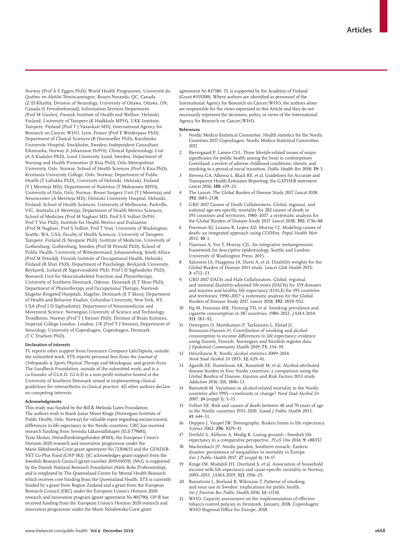Norway (Prof A E Eggen PhD); World Health Programme, Université du Québec en Abitibi-Témiscamingue, Rouyn-Noranda, QC, Canada (Z El-Khatib); Division of Neurology, University of Ottawa, Ottawa, ON, Canada (S Fereshtehnejad); Information Services Department (Prof M Gissler), Finnish Institute of Health and Welfare, Helsinki, Finland; University of Tampere (K Hadkhale MPH), UKK Institute, Tampere, Finland (Prof T J Vasankari MD); International Agency for Research on Cancer, WHO, Lyon, France (Prof E Weiderpass PhD); Department of Clinical Sciences (R Havmoeller PhD), Karolinska University Hospital, Stockholm, Sweden; Independent Consultant, Eiksmarka, Norway (L Johansson DrPH); Clinical Epidemiology Unit (A A Kiadaliri PhD), Lund University, Lund, Sweden; Department of Nursing and Health Promotion (S Kisa PhD), Oslo Metropolitan University, Oslo, Norway; School of Health Sciences (Prof A Kisa PhD), Kristiania University College, Oslo, Norway; Department of Public Health (T Lallukka PhD), University of Helsinki, Helsinki, Finland (T J Meretoja MD); Departmemt of Nutrition (T Mekonnen MPH), University of Oslo, Oslo, Norway; Breast Surgery Unit (T J Meretoja) and Neurocenter (A Meretoja MD), Helsinki University Hospital, Helsinki, Finland; School of Health Sciences, University of Melbourne, Parkville, VIC, Australia (A Meretoja); Department of Health Metrics Sciences, School of Medicine (Prof M Naghavi MD, Prof S E Vollset DrPH, Prof T Vos PhD), Institute for Health Metrics and Evaluation (Prof M Naghavi, Prof S Vollset, Prof T Vos), University of Washington, Seattle, WA, USA; Faculty of Health Sciences, University of Tampere, Tampere, Finland (S Neupane PhD); Institute of Medicine, University of Gothenburg, Gothenburg, Sweden (Prof M Petzold PhD); School of Public Health, University of Witwatersrand, Johannesburg, South Africa (Prof M Petzold); Finnish Institute of Occupational Health, Helsinki, Finland (R Shiri PhD); Department of Psychology, Reykjavik University, Reykjavik, Iceland (R Sigurvinsdottir PhD, Prof I D Sigfusdottir PhD); Research Unit for Musculoskeletal Function and Physiotherapy, University of Southern Denmark, Odense, Denmark (S T Skou PhD); Department of Physiotherapy and Occupational Therapy, Næstved-Slagelse-Ringsted Hospitals, Slagelse, Denmark (S T Skou); Department of Health and Behavior Studies, Columbia University, New York, NY, USA (Prof I D Sigfusdottir); Department of Neuromedicine and Movement Science, Norwegian University of Science and Technology, Trondheim, Norway (Prof T J Steiner PhD); Division of Brain Sciences, Imperial College London, London, UK (Prof T J Steiner); Department of Neurology, University of Copenhagen, Copenhagen, Denmark (T C Truelsen PhD).

#### **Declaration of interests**

TL reports other support from Insurance Company LähiTapiola, outside the submitted work. STS reports personal fees from the *Journal of Orthopaedic & Sports Physical Therapy* and Munksgaar, and grants from The Lundbeck Foundation, outside of the submitted work; and is a co-founder of GLA:D. GLA:D is a non-profit initiative hosted at the University of Southern Denmark aimed at implementing clinical guidelines for osteoarthritis in clinical practice. All other authors declare no competing interests.

#### **Acknowledgments**

This study was funded by the Bill & Melinda Gates Foundation. The authors wish to thank Jonas Minet Kinge (Norwegian Institute of Public Health, Oslo, Norway) for valuable input regarding socioeconomic differences in life expectancy in the Nordic countries. CRC has received research funding from Svenska Läkaresällskapet (SLS-779681), Tysta Skolan, Hörselforskningsfonden (#503), the European Union's Horizon 2020 research and innovation programme under the Marie Skłodowska-Curie grant agreement No 72204655 and the GENDER-NET Co-Plus Fund (GNP-182). JJC acknowledges grant support from the Swedish Research Council (grant number 2019-01059). JMcG is supported by the Danish National Research Foundation (Niels Bohr Professorship), and is employed by The Queensland Centre for Mental Health Research which receives core funding from the Queensland Health. STS is currently funded by a grant from Region Zealand and a grant from the European Research Council (ERC) under the European Union's Horizon 2020 research and innovation program (grant agreement No 801790). OP-R has received funding from the European Union's Horizon 2020 research and innovation programme under the Marie Sklodowska-Curie grant

agreement No 837180. TL is supported by the Academy of Finland (Grant #319200). Where authors are identified as personnel of the International Agency for Research on Cancer/WHO, the authors alone are responsible for the views expressed in this Article and they do not necessarily represent the decisions, policy, or views of the International Agency for Research on Cancer/WHO.

#### **References**

- 1 Nordic Medico-Statistical Committee. Health statistics for the Nordic Countries 2017. Copenhagen: Nordic Medico-Statistical Committee, 2017.
- 2 Bjerregaard P, Larsen CVL. Three lifestyle-related issues of major significance for public health among the Inuit in contemporary Greenland: a review of adverse childhood conditions, obesity, and smoking in a period of social transition. *Public Health Rev* 2018; **39:** 5.
- 3 Stevens GA, Alkema L, Black RE, et al. Guidelines for Accurate and Transparent Health Estimates Reporting: the GATHER statement. *Lancet* 2016; **388:** e19–23.
- 4 The Lancet. The Global Burden of Disease Study 2017. *Lancet* 2018; **392:** 1683–2138.
- 5 GBD 2017 Causes of Death Collaborators. Global, regional, and national age-sex-specific mortality for 282 causes of death in 195 countries and territories, 1980–2017: a systematic analysis for the Global Burden of Disease Study 2017. *Lancet* 2018; **392:** 1736–88.
- 6 Foreman KJ, Lozano R, Lopez AD, Murray CJ. Modeling causes of death: an integrated approach using CODEm. *Popul Health Metr* 2012; **10:** 1.
- 7 Flaxman A, Vos T, Murray CJL. An integrative metaregression framework for descriptive epidemiology. Seattle and London: University of Washington Press, 2015.
- Salomon JA, Haagsma JA, Davis A, et al. Disability weights for the Global Burden of Disease 2013 study. *Lancet Glob Health* 2015; **3:** e712–23.
- GBD 2017 DALYs and Hale Collaborators. Global, regional, and national disability-adjusted life-years (DALYs) for 359 diseases and injuries and healthy life expectancy (HALE) for 195 countries and territories, 1990–2017: a systematic analysis for the Global Burden of Disease Study 2017. *Lancet* 2018; **392:** 1859–922.
- Ng M, Freeman MK, Fleming TD, et al. Smoking prevalence and cigarette consumption in 187 countries, 1980–2012. *JAMA* 2014; **311:** 183–92.
- 11 Ostergren O, Martikainen P, Tarkiainen L, Elstad JI, Bronnum-Hansen H. Contribution of smoking and alcohol consumption to income differences in life expectancy: evidence using Danish, Finnish, Norwegian and Swedish register data. *J Epidemiol Community Health* 2019; **73:** 334–39.
- 12 Henriksson R. Nordic alcohol statistics 2009–2014. *Nord Stud Alcohol Dr* 2015; **32:** 629–41.
- 13 Agardh EE, Danielsson AK, Ramstedt M, et al. Alcohol-attributed disease burden in four Nordic countries: a comparison using the Global Burden of Disease, Injuries and Risk Factors 2013 study. *Addiction* 2016; **111:** 1806–13.
- 14 Ramstedt M. Variations in alcohol-related mortality in the Nordic countries after 1995—continuity or change? *Nord Stud Alcohol Dr* 2007; **24** (suppl 1)**:** 5–15.
- 15 Vollset SE. Risk and causes of death between 40 and 70 years of age in the Nordic countries 1951–2010. *Scand J Public Health* 2013; **41:** 644–51.
- 16 Oeppen J, Vaupel JW. Demography. Broken limits to life expectancy. *Science* 2002; **296:** 1029–31.
- 17 Drefahl S, Ahlbom A, Modig K. Losing ground—Swedish life expectancy in a comparative perspective. *PLoS One* 2014; **9:** e88357.
- 18 Mackenbach JP. Nordic paradox, Southern miracle, Eastern disaster: persistence of inequalities in mortality in Europe. *Eur J Public Health* 2017; **27** (suppl 4)**:** 14–17.
- Kinge JM, Modalsli JH, Overland S, et al. Association of household income with life expectancy and cause-specific mortality in Norway, 2005–2015. *JAMA* 2019; **321:** 1916–25.
- 20 Ramstrom L, Borland R, Wikmans T. Patterns of smoking and snus use in Sweden: implications for public health. *Int J Environ Res Public Health* 2016; **13:** e1110.
- 21 WHO. Capacity assessment on the implementation of effective tobacco control policies in Denmark. January, 2018. Copenhagen: WHO Regional Office for Europe, 2018.